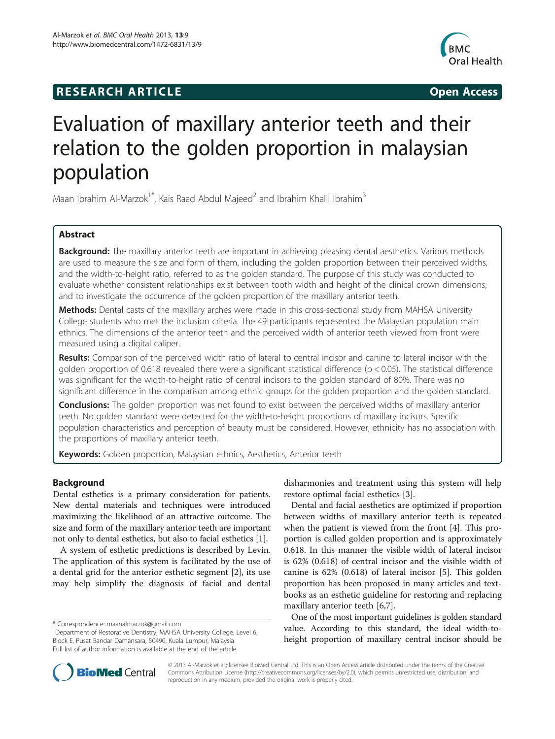# **RESEARCH ARTICLE Example 2014 The SEAR CH ACCESS**



# Evaluation of maxillary anterior teeth and their relation to the golden proportion in malaysian population

Maan Ibrahim Al-Marzok<sup>1\*</sup>, Kais Raad Abdul Majeed<sup>2</sup> and Ibrahim Khalil Ibrahim<sup>3</sup>

# Abstract

Background: The maxillary anterior teeth are important in achieving pleasing dental aesthetics. Various methods are used to measure the size and form of them, including the golden proportion between their perceived widths, and the width-to-height ratio, referred to as the golden standard. The purpose of this study was conducted to evaluate whether consistent relationships exist between tooth width and height of the clinical crown dimensions; and to investigate the occurrence of the golden proportion of the maxillary anterior teeth.

Methods: Dental casts of the maxillary arches were made in this cross-sectional study from MAHSA University College students who met the inclusion criteria. The 49 participants represented the Malaysian population main ethnics. The dimensions of the anterior teeth and the perceived width of anterior teeth viewed from front were measured using a digital caliper.

Results: Comparison of the perceived width ratio of lateral to central incisor and canine to lateral incisor with the golden proportion of 0.618 revealed there were a significant statistical difference (p < 0.05). The statistical difference was significant for the width-to-height ratio of central incisors to the golden standard of 80%. There was no significant difference in the comparison among ethnic groups for the golden proportion and the golden standard.

**Conclusions:** The golden proportion was not found to exist between the perceived widths of maxillary anterior teeth. No golden standard were detected for the width-to-height proportions of maxillary incisors. Specific population characteristics and perception of beauty must be considered. However, ethnicity has no association with the proportions of maxillary anterior teeth.

Keywords: Golden proportion, Malaysian ethnics, Aesthetics, Anterior teeth

# Background

Dental esthetics is a primary consideration for patients. New dental materials and techniques were introduced maximizing the likelihood of an attractive outcome. The size and form of the maxillary anterior teeth are important not only to dental esthetics, but also to facial esthetics [[1](#page-4-0)].

A system of esthetic predictions is described by Levin. The application of this system is facilitated by the use of a dental grid for the anterior esthetic segment [\[2](#page-4-0)], its use may help simplify the diagnosis of facial and dental disharmonies and treatment using this system will help restore optimal facial esthetics [\[3](#page-4-0)].

Dental and facial aesthetics are optimized if proportion between widths of maxillary anterior teeth is repeated when the patient is viewed from the front [[4\]](#page-4-0). This proportion is called golden proportion and is approximately 0.618. In this manner the visible width of lateral incisor is 62% (0.618) of central incisor and the visible width of canine is 62% (0.618) of lateral incisor [[5\]](#page-4-0). This golden proportion has been proposed in many articles and textbooks as an esthetic guideline for restoring and replacing maxillary anterior teeth [\[6,7](#page-4-0)].

One of the most important guidelines is golden standard value. According to this standard, the ideal width-toheight proportion of maxillary central incisor should be



© 2013 Al-Marzok et al.; licensee BioMed Central Ltd. This is an Open Access article distributed under the terms of the Creative Commons Attribution License [\(http://creativecommons.org/licenses/by/2.0\)](http://creativecommons.org/licenses/by/2.0), which permits unrestricted use, distribution, and reproduction in any medium, provided the original work is properly cited.

<sup>\*</sup> Correspondence: [maanalmarzok@gmail.com](mailto:maanalmarzok@gmail.com) <sup>1</sup>

<sup>&</sup>lt;sup>1</sup>Department of Restorative Dentistry, MAHSA University College, Level 6, Block E, Pusat Bandar Damansara, 50490, Kuala Lumpur, Malaysia Full list of author information is available at the end of the article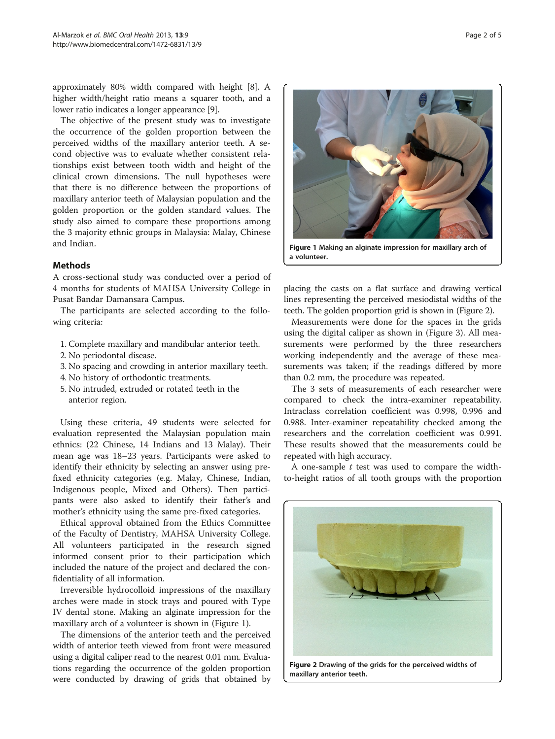approximately 80% width compared with height [\[8](#page-4-0)]. A higher width/height ratio means a squarer tooth, and a lower ratio indicates a longer appearance [[9](#page-4-0)].

The objective of the present study was to investigate the occurrence of the golden proportion between the perceived widths of the maxillary anterior teeth. A second objective was to evaluate whether consistent relationships exist between tooth width and height of the clinical crown dimensions. The null hypotheses were that there is no difference between the proportions of maxillary anterior teeth of Malaysian population and the golden proportion or the golden standard values. The study also aimed to compare these proportions among the 3 majority ethnic groups in Malaysia: Malay, Chinese and Indian.

## Methods

A cross-sectional study was conducted over a period of 4 months for students of MAHSA University College in Pusat Bandar Damansara Campus.

The participants are selected according to the following criteria:

- 1. Complete maxillary and mandibular anterior teeth.
- 2. No periodontal disease.
- 3. No spacing and crowding in anterior maxillary teeth.
- 4. No history of orthodontic treatments.
- 5. No intruded, extruded or rotated teeth in the anterior region.

Using these criteria, 49 students were selected for evaluation represented the Malaysian population main ethnics: (22 Chinese, 14 Indians and 13 Malay). Their mean age was 18–23 years. Participants were asked to identify their ethnicity by selecting an answer using prefixed ethnicity categories (e.g. Malay, Chinese, Indian, Indigenous people, Mixed and Others). Then participants were also asked to identify their father's and mother's ethnicity using the same pre-fixed categories.

Ethical approval obtained from the Ethics Committee of the Faculty of Dentistry, MAHSA University College. All volunteers participated in the research signed informed consent prior to their participation which included the nature of the project and declared the confidentiality of all information.

Irreversible hydrocolloid impressions of the maxillary arches were made in stock trays and poured with Type IV dental stone. Making an alginate impression for the maxillary arch of a volunteer is shown in (Figure 1).

The dimensions of the anterior teeth and the perceived width of anterior teeth viewed from front were measured using a digital caliper read to the nearest 0.01 mm. Evaluations regarding the occurrence of the golden proportion were conducted by drawing of grids that obtained by



placing the casts on a flat surface and drawing vertical lines representing the perceived mesiodistal widths of the teeth. The golden proportion grid is shown in (Figure 2).

Measurements were done for the spaces in the grids using the digital caliper as shown in (Figure [3](#page-2-0)). All measurements were performed by the three researchers working independently and the average of these measurements was taken; if the readings differed by more than 0.2 mm, the procedure was repeated.

The 3 sets of measurements of each researcher were compared to check the intra-examiner repeatability. Intraclass correlation coefficient was 0.998, 0.996 and 0.988. Inter-examiner repeatability checked among the researchers and the correlation coefficient was 0.991. These results showed that the measurements could be repeated with high accuracy.

A one-sample  $t$  test was used to compare the widthto-height ratios of all tooth groups with the proportion

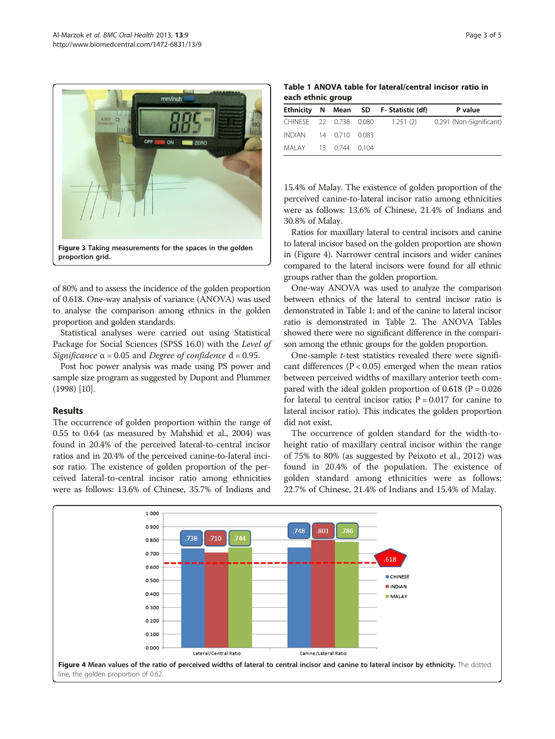<span id="page-2-0"></span>

of 80% and to assess the incidence of the golden proportion of 0.618. One-way analysis of variance (ANOVA) was used to analyse the comparison among ethnics in the golden proportion and golden standards.

Statistical analyses were carried out using Statistical Package for Social Sciences (SPSS 16.0) with the Level of Significance  $\alpha$  = 0.05 and Degree of confidence d = 0.95.

Post hoc power analysis was made using PS power and sample size program as suggested by Dupont and Plummer ([1998\)](#page-4-0) [\[10\]](#page-4-0).

## Results

The occurrence of golden proportion within the range of 0.55 to 0.64 (as measured by Mahshid et al., [2004](#page-4-0)) was found in 20.4% of the perceived lateral-to-central incisor ratios and in 20.4% of the perceived canine-to-lateral incisor ratio. The existence of golden proportion of the perceived lateral-to-central incisor ratio among ethnicities were as follows: 13.6% of Chinese, 35.7% of Indians and

Table 1 ANOVA table for lateral/central incisor ratio in each ethnic group

|                       |  | Ethnicity N Mean SD F-Statistic (df) | P value                                                  |
|-----------------------|--|--------------------------------------|----------------------------------------------------------|
|                       |  |                                      | CHINESE 22 0.738 0.080 1.251 (2) 0.291 (Non-Significant) |
| INDIAN 14 0.710 0.083 |  |                                      |                                                          |
| MAIAY 13 0.744 0.104  |  |                                      |                                                          |

15.4% of Malay. The existence of golden proportion of the perceived canine-to-lateral incisor ratio among ethnicities were as follows: 13.6% of Chinese, 21.4% of Indians and 30.8% of Malay.

Ratios for maxillary lateral to central incisors and canine to lateral incisor based on the golden proportion are shown in (Figure 4). Narrower central incisors and wider canines compared to the lateral incisors were found for all ethnic groups rather than the golden proportion.

One-way ANOVA was used to analyze the comparison between ethnics of the lateral to central incisor ratio is demonstrated in Table 1; and of the canine to lateral incisor ratio is demonstrated in Table [2](#page-3-0). The ANOVA Tables showed there were no significant difference in the comparison among the ethnic groups for the golden proportion.

One-sample  $t$ -test statistics revealed there were significant differences ( $P < 0.05$ ) emerged when the mean ratios between perceived widths of maxillary anterior teeth compared with the ideal golden proportion of  $0.618$  (P = 0.026) for lateral to central incisor ratio;  $P = 0.017$  for canine to lateral incisor ratio). This indicates the golden proportion did not exist.

The occurrence of golden standard for the width-toheight ratio of maxillary central incisor within the range of 75% to 80% (as suggested by Peixoto et al., 2012) was found in 20.4% of the population. The existence of golden standard among ethnicities were as follows: 22.7% of Chinese, 21.4% of Indians and 15.4% of Malay.

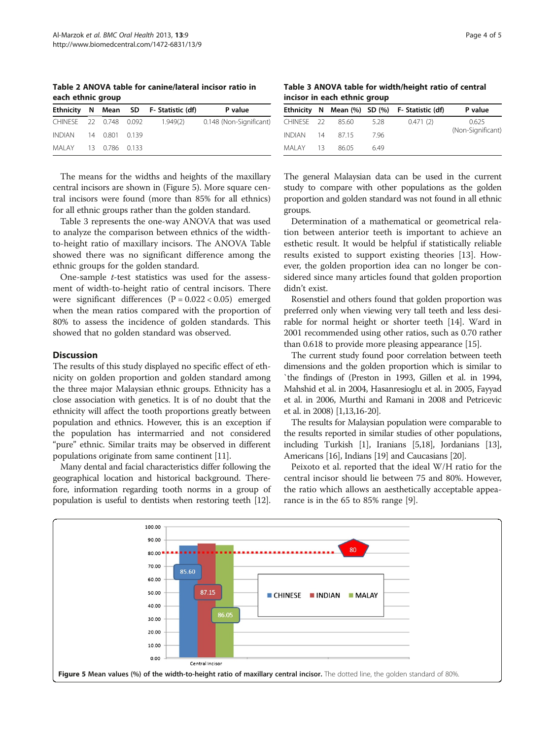<span id="page-3-0"></span>Table 2 ANOVA table for canine/lateral incisor ratio in each ethnic group

|                       |  | Ethnicity N Mean SD F-Statistic (df) | P value                 |
|-----------------------|--|--------------------------------------|-------------------------|
|                       |  | CHINESE 22 0.748 0.092 1.949(2)      | 0.148 (Non-Significant) |
| INDIAN 14 0.801 0.139 |  |                                      |                         |
| MALAY 13 0.786 0.133  |  |                                      |                         |

The means for the widths and heights of the maxillary central incisors are shown in (Figure 5). More square central incisors were found (more than 85% for all ethnics) for all ethnic groups rather than the golden standard.

Table 3 represents the one-way ANOVA that was used to analyze the comparison between ethnics of the widthto-height ratio of maxillary incisors. The ANOVA Table showed there was no significant difference among the ethnic groups for the golden standard.

One-sample t-test statistics was used for the assessment of width-to-height ratio of central incisors. There were significant differences  $(P = 0.022 < 0.05)$  emerged when the mean ratios compared with the proportion of 80% to assess the incidence of golden standards. This showed that no golden standard was observed.

# **Discussion**

The results of this study displayed no specific effect of ethnicity on golden proportion and golden standard among the three major Malaysian ethnic groups. Ethnicity has a close association with genetics. It is of no doubt that the ethnicity will affect the tooth proportions greatly between population and ethnics. However, this is an exception if the population has intermarried and not considered "pure" ethnic. Similar traits may be observed in different populations originate from same continent [\[11\]](#page-4-0).

Many dental and facial characteristics differ following the geographical location and historical background. Therefore, information regarding tooth norms in a group of population is useful to dentists when restoring teeth [\[12](#page-4-0)].

Table 3 ANOVA table for width/height ratio of central incisor in each ethnic group

|            |       |       | Ethnicity N Mean (%) SD (%) F- Statistic (df) | P value           |
|------------|-------|-------|-----------------------------------------------|-------------------|
| CHINESE 22 | 85.60 | 5.28  | 0.471(2)                                      | 0.625             |
| INDIAN 14  | 8715  | -7 96 |                                               | (Non-Significant) |
| MALAY 13   | 86.05 | 6.49  |                                               |                   |

The general Malaysian data can be used in the current study to compare with other populations as the golden proportion and golden standard was not found in all ethnic groups.

Determination of a mathematical or geometrical relation between anterior teeth is important to achieve an esthetic result. It would be helpful if statistically reliable results existed to support existing theories [\[13](#page-4-0)]. However, the golden proportion idea can no longer be considered since many articles found that golden proportion didn't exist.

Rosenstiel and others found that golden proportion was preferred only when viewing very tall teeth and less desirable for normal height or shorter teeth [\[14](#page-4-0)]. Ward in 2001 recommended using other ratios, such as 0.70 rather than 0.618 to provide more pleasing appearance [\[15\]](#page-4-0).

The current study found poor correlation between teeth dimensions and the golden proportion which is similar to `the findings of (Preston in [1993,](#page-4-0) Gillen et al. in [1994](#page-4-0), Mahshid et al. in [2004,](#page-4-0) Hasanresioglu et al. in [2005,](#page-4-0) Fayyad et al. in [2006](#page-4-0), Murthi and Ramani in [2008](#page-4-0) and Petricevic et al. in [2008\)](#page-4-0) [\[1,13,16-20\]](#page-4-0).

The results for Malaysian population were comparable to the results reported in similar studies of other populations, including Turkish [\[1\]](#page-4-0), Iranians [\[5,18\]](#page-4-0), Jordanians [\[13](#page-4-0)], Americans [[16](#page-4-0)], Indians [\[19](#page-4-0)] and Caucasians [\[20\]](#page-4-0).

Peixoto et al. reported that the ideal W/H ratio for the central incisor should lie between 75 and 80%. However, the ratio which allows an aesthetically acceptable appearance is in the 65 to 85% range [\[9](#page-4-0)].